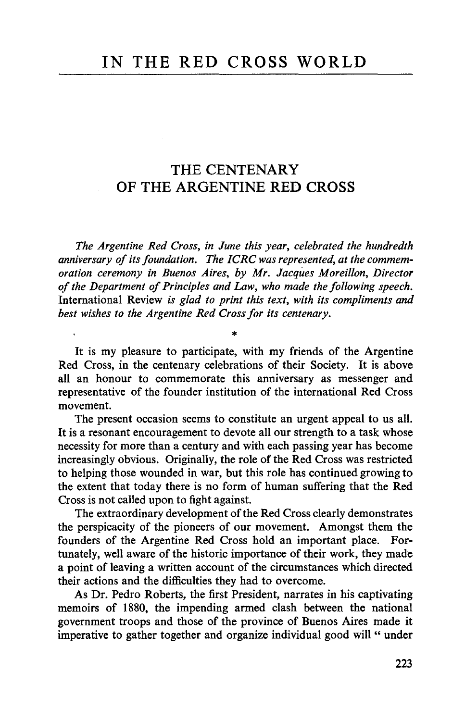## THE CENTENARY OF THE ARGENTINE RED CROSS

*The Argentine Red Cross, in June this year, celebrated the hundredth anniversary of its foundation. The ICRC was represented, at the commemoration ceremony in Buenos Aires, by Mr. Jacques Moreillon, Director of the Department of Principles and Law, who made the following speech.* International Review *is glad to print this text, with its compliments and best wishes to the Argentine Red Cross for its centenary.*

It is my pleasure to participate, with my friends of the Argentine Red Cross, in the centenary celebrations of their Society. It is above all an honour to commemorate this anniversary as messenger and representative of the founder institution of the international Red Cross movement.

The present occasion seems to constitute an urgent appeal to us all. It is a resonant encouragement to devote all our strength to a task whose necessity for more than a century and with each passing year has become increasingly obvious. Originally, the role of the Red Cross was restricted to helping those wounded in war, but this role has continued growing to the extent that today there is no form of human suffering that the Red Cross is not called upon to fight against.

The extraordinary development of the Red Cross clearly demonstrates the perspicacity of the pioneers of our movement. Amongst them the founders of the Argentine Red Cross hold an important place. Fortunately, well aware of the historic importance of their work, they made a point of leaving a written account of the circumstances which directed their actions and the difficulties they had to overcome.

As Dr. Pedro Roberts, the first President, narrates in his captivating memoirs of 1880, the impending armed clash between the national government troops and those of the province of Buenos Aires made it imperative to gather together and organize individual good will " under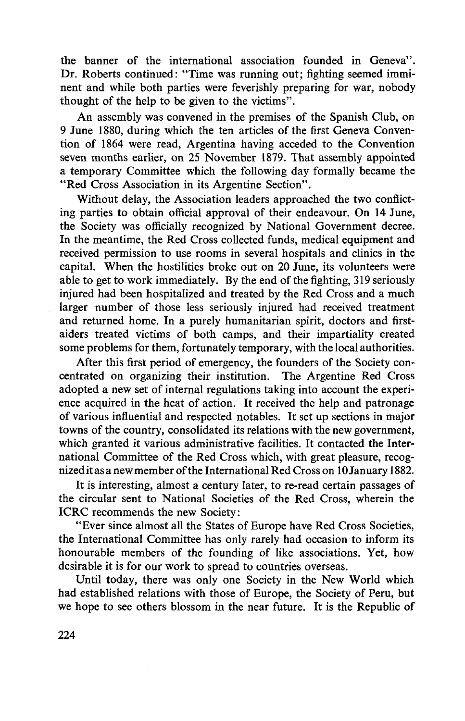the banner of the international association founded in Geneva". Dr. Roberts continued: "Time was running out; fighting seemed imminent and while both parties were feverishly preparing for war, nobody thought of the help to be given to the victims".

An assembly was convened in the premises of the Spanish Club, on 9 June 1880, during which the ten articles of the first Geneva Convention of 1864 were read, Argentina having acceded to the Convention seven months earlier, on 25 November 1879. That assembly appointed a temporary Committee which the following day formally became the "Red Cross Association in its Argentine Section".

Without delay, the Association leaders approached the two conflicting parties to obtain official approval of their endeavour. On 14 June, the Society was officially recognized by National Government decree. In the meantime, the Red Cross collected funds, medical equipment and received permission to use rooms in several hospitals and clinics in the capital. When the hostilities broke out on 20 June, its volunteers were able to get to work immediately. By the end of the fighting, 319 seriously injured had been hospitalized and treated by the Red Cross and a much larger number of those less seriously injured had received treatment and returned home. In a purely humanitarian spirit, doctors and firstaiders treated victims of both camps, and their impartiality created some problems for them, fortunately temporary, with the local authorities.

After this first period of emergency, the founders of the Society concentrated on organizing their institution. The Argentine Red Cross adopted a new set of internal regulations taking into account the experience acquired in the heat of action. It received the help and patronage of various influential and respected notables. It set up sections in major towns of the country, consolidated its relations with the new government, which granted it various administrative facilities. It contacted the International Committee of the Red Cross which, with great pleasure, recognized it as a new member of the International Red Cross on 10 January 1882.

It is interesting, almost a century later, to re-read certain passages of the circular sent to National Societies of the Red Cross, wherein the ICRC recommends the new Society:

"Ever since almost all the States of Europe have Red Cross Societies, the International Committee has only rarely had occasion to inform its honourable members of the founding of like associations. Yet, how desirable it is for our work to spread to countries overseas.

Until today, there was only one Society in the New World which had established relations with those of Europe, the Society of Peru, but we hope to see others blossom in the near future. It is the Republic of